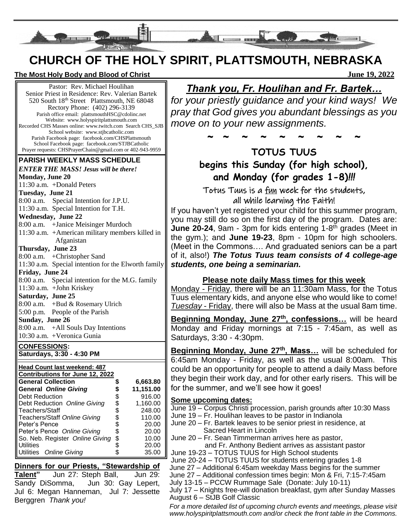

# **CHURCH OF THE HOLY SPIRIT, PLATTSMOUTH, NEBRASKA**

#### **The Most Holy Body and Blood of Christ June 19, 2022**

Pastor: Rev. Michael Houlihan Senior Priest in Residence: Rev. Valerian Bartek 520 South 18th Street Plattsmouth, NE 68048 Rectory Phone: (402) 296-3139 Parish office email: plattsmouthHSC@cdolinc.net Website: www.holyspiritplattsmouth.com Recorded CHS Masses online: www.twitch.com Search CHS\_SJB School website: www.stjbcatholic.com Parish Facebook page: facebook.com/CHSPlattsmouth School Facebook page: facebook.com/STJBCatholic Prayer requests: CHSPrayerChain@gmail.com or 402-943-9959

#### **PARISH WEEKLY MASS SCHEDULE**

| <b>ENTER THE MASS! Jesus will be there!</b> |                                                     |  |  |  |
|---------------------------------------------|-----------------------------------------------------|--|--|--|
| <b>Monday, June 20</b>                      |                                                     |  |  |  |
| 11:30 a.m. +Donald Peters                   |                                                     |  |  |  |
| Tuesday, June 21                            |                                                     |  |  |  |
|                                             | 8:00 a.m. Special Intention for J.P.U.              |  |  |  |
|                                             | 11:30 a.m. Special Intention for T.H.               |  |  |  |
| <b>Wednesday, June 22</b>                   |                                                     |  |  |  |
|                                             | 8:00 a.m. + Janice Meisinger Murdoch                |  |  |  |
|                                             | 11:30 a.m. + American military members killed in    |  |  |  |
|                                             | Afganistan                                          |  |  |  |
| Thursday, June 23                           |                                                     |  |  |  |
|                                             | $8:00$ a.m. +Christopher Sand                       |  |  |  |
|                                             | 11:30 a.m. Special intention for the Elworth family |  |  |  |
| Friday, June 24                             |                                                     |  |  |  |
|                                             | 8:00 a.m. Special intention for the M.G. family     |  |  |  |
|                                             | 11:30 a.m. + John Kriskey                           |  |  |  |
| Saturday, June 25                           |                                                     |  |  |  |
|                                             | 8:00 a.m. + Bud & Rosemary Ulrich                   |  |  |  |
|                                             | 5:00 p.m. People of the Parish                      |  |  |  |
| Sunday, June 26                             |                                                     |  |  |  |
|                                             | 8:00 a.m. + All Souls Day Intentions                |  |  |  |
|                                             | 10:30 a.m. +Veronica Gunia                          |  |  |  |

**CONFESSIONS: Saturdays, 3:30 - 4:30 PM**

| <b>Head Count last weekend: 487</b> |  |           |  |
|-------------------------------------|--|-----------|--|
| Contributions for June 12, 2022     |  |           |  |
| <b>General Collection</b>           |  | 6,663.80  |  |
| <b>General Online Giving</b>        |  | 11,151.00 |  |
| Debt Reduction                      |  | 916.00    |  |
| Debt Reduction Online Giving        |  | 1,160.00  |  |
| Teachers/Staff                      |  | 248.00    |  |
| Teachers/Staff Online Giving        |  | 110.00    |  |
| Peter's Pence                       |  | 20.00     |  |
| Peter's Pence Online Giving         |  | 20.00     |  |
| So. Neb. Register Online Giving     |  | 10.00     |  |
| <b>Utilities</b>                    |  | 20.00     |  |
| Utilities Online Giving             |  | 35.00     |  |

**Dinners for our Priests, "Stewardship of Talent"** Jun 27: Steph Ball, Jun 29: Sandy DiSomma, Jun 30: Gay Lepert, Jul 6: Megan Hanneman, Jul 7: Jessette Berggren *Thank you!*

## *Thank you, Fr. Houlihan and Fr. Bartek…*

*for your priestly guidance and your kind ways! We pray that God gives you abundant blessings as you move on to your new assignments.* 

~ ~ ~ ~ ~ ~ ~ ~ ~

### **TOTUS TUUS begins this Sunday (for high school), and Monday (for grades 1-8)***!!!*

Totus Tuus is a fun week for the students, all while learning the Faith!

If you haven't yet registered your child for this summer program, you may still do so on the first day of the program. Dates are: **June 20-24**, 9am - 3pm for kids entering 1-8<sup>th</sup> grades (Meet in the gym.); and **June 19-23**, 8pm - 10pm for high schoolers. (Meet in the Commons…. And graduated seniors can be a part of it, also!) *The Totus Tuus team consists of 4 college-age students, one being a seminarian.* 

### **Please note daily Mass times for this week**

Monday - Friday, there will be an 11:30am Mass, for the Totus Tuus elementary kids, and anyone else who would like to come! *Tuesday* - Friday, there will also be Mass at the usual 8am time.

**Beginning Monday, June 27th, confessions…** will be heard Monday and Friday mornings at 7:15 - 7:45am, as well as Saturdays, 3:30 - 4:30pm.

**Beginning Monday, June 27th, Mass…** will be scheduled for 6:45am Monday - Friday, as well as the usual 8:00am. This could be an opportunity for people to attend a daily Mass before they begin their work day, and for other early risers. This will be for the summer, and we'll see how it goes!

### **Some upcoming dates:**

- June 19 Corpus Christi procession, parish grounds after 10:30 Mass
- June 19 Fr. Houlihan leaves to be pastor in Indianola
- June 20 Fr. Bartek leaves to be senior priest in residence, at Sacred Heart in Lincoln
- June 20 Fr. Sean Timmerman arrives here as pastor,

 and Fr. Anthony Bedient arrives as assistant pastor June 19-23 – TOTUS TUUS for High School students

June 20-24 – TOTUS TUUS for students entering grades 1-8

June 27 – Additional 6:45am weekday Mass begins for the summer

June 27 – Additional confession times begin: Mon & Fri, 7:15-7:45am

July 13-15 – PCCW Rummage Sale (Donate: July 10-11)

July 17 – Knights free-will donation breakfast, gym after Sunday Masses August 6 – StJB Golf Classic

*For a more detailed list of upcoming church events and meetings, please visit www.holyspiritplattsmouth.com and/or check the front table in the Commons.*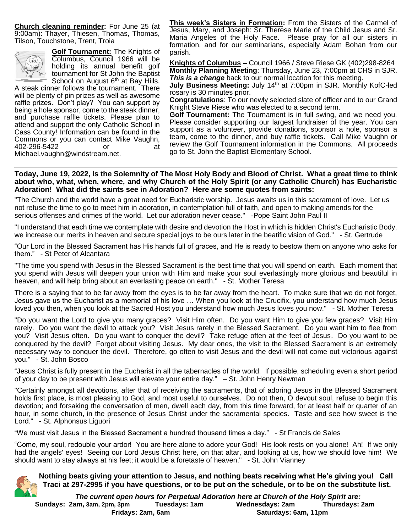**Church cleaning reminder:** For June 25 (at 9:00am): Thayer, Thiesen, Thomas, Thomas, Tilson, Touchstone, Trent, Troia



**Golf Tournament:** The Knights of Columbus, Council 1966 will be holding its annual benefit golf tournament for St John the Baptist School on August 6<sup>th</sup> at Bay Hills.

A steak dinner follows the tournament. There will be plenty of pin prizes as well as awesome raffle prizes. Don't play? You can support by being a hole sponsor, come to the steak dinner, and purchase raffle tickets. Please plan to attend and support the only Catholic School in Cass County! Information can be found in the Commons or you can contact Mike Vaughn, 402-296-5422 or at Michael.vaughn@windstream.net.

**This week's Sisters in Formation:** From the Sisters of the Carmel of Jesus, Mary, and Joseph: Sr. Therese Marie of the Child Jesus and Sr. Maria Angeles of the Holy Face. Please pray for all our sisters in formation, and for our seminarians, especially Adam Bohan from our parish.

**Knights of Columbus –** Council 1966 / Steve Riese GK (402)298-8264 **Monthly Planning Meeting**: Thursday, June 23, 7:00pm at CHS in SJR. **This is a change** back to our normal location for this meeting.

**July Business Meeting:** July 14<sup>th</sup> at 7:00pm in SJR. Monthly KofC-led rosary is 30 minutes prior.

**Congratulations**: To our newly selected slate of officer and to our Grand Knight Steve Riese who was elected to a second term.

**Golf Tournament:** The Tournament is in full swing, and we need you. Please consider supporting our largest fundraiser of the year. You can support as a volunteer, provide donations, sponsor a hole, sponsor a team, come to the dinner, and buy raffle tickets. Call Mike Vaughn or review the Golf Tournament information in the Commons. All proceeds go to St. John the Baptist Elementary School.

**Today, June 19, 2022, is the Solemnity of The Most Holy Body and Blood of Christ. What a great time to think about who, what, when, where, and why Church of the Holy Spirit (or any Catholic Church) has Eucharistic Adoration! What did the saints see in Adoration? Here are some quotes from saints:**

"The Church and the world have a great need for Eucharistic worship. Jesus awaits us in this sacrament of love. Let us not refuse the time to go to meet him in adoration, in contemplation full of faith, and open to making amends for the serious offenses and crimes of the world. Let our adoration never cease." -Pope Saint John Paul II

"I understand that each time we contemplate with desire and devotion the Host in which is hidden Christ's Eucharistic Body, we increase our merits in heaven and secure special joys to be ours later in the beatific vision of God." - St. Gertrude

"Our Lord in the Blessed Sacrament has His hands full of graces, and He is ready to bestow them on anyone who asks for them." - St Peter of Alcantara

"The time you spend with Jesus in the Blessed Sacrament is the best time that you will spend on earth. Each moment that you spend with Jesus will deepen your union with Him and make your soul everlastingly more glorious and beautiful in heaven, and will help bring about an everlasting peace on earth." - St. Mother Teresa

There is a saying that to be far away from the eyes is to be far away from the heart. To make sure that we do not forget, Jesus gave us the Eucharist as a memorial of his love … When you look at the Crucifix, you understand how much Jesus loved you then, when you look at the Sacred Host you understand how much Jesus loves you now." - St. Mother Teresa

"Do you want the Lord to give you many graces? Visit Him often. Do you want Him to give you few graces? Visit Him rarely. Do you want the devil to attack you? Visit Jesus rarely in the Blessed Sacrament. Do you want him to flee from you? Visit Jesus often. Do you want to conquer the devil? Take refuge often at the feet of Jesus. Do you want to be conquered by the devil? Forget about visiting Jesus. My dear ones, the visit to the Blessed Sacrament is an extremely necessary way to conquer the devil. Therefore, go often to visit Jesus and the devil will not come out victorious against you." - St. John Bosco

"Jesus Christ is fully present in the Eucharist in all the tabernacles of the world. If possible, scheduling even a short period of your day to be present with Jesus will elevate your entire day." – St. John Henry Newman

"Certainly amongst all devotions, after that of receiving the sacraments, that of adoring Jesus in the Blessed Sacrament holds first place, is most pleasing to God, and most useful to ourselves. Do not then, O devout soul, refuse to begin this devotion; and forsaking the conversation of men, dwell each day, from this time forward, for at least half or quarter of an hour, in some church, in the presence of Jesus Christ under the sacramental species. Taste and see how sweet is the Lord." - St. Alphonsus Liguori

"We must visit Jesus in the Blessed Sacrament a hundred thousand times a day." - St Francis de Sales

"Come, my soul, redouble your ardor! You are here alone to adore your God! His look rests on you alone! Ah! If we only had the angels' eyes! Seeing our Lord Jesus Christ here, on that altar, and looking at us, how we should love him! We should want to stay always at his feet; it would be a foretaste of heaven." - St. John Vianney



*The current open hours for Perpetual Adoration here at Church of the Holy Spirit are:*  **Sundays: 2am, 3am, 2pm, 3pm Tuesdays: 1am Wednesdays: 2am Thursdays: 2am Fridays: 2am, 6am Saturdays: 6am, 11pm**